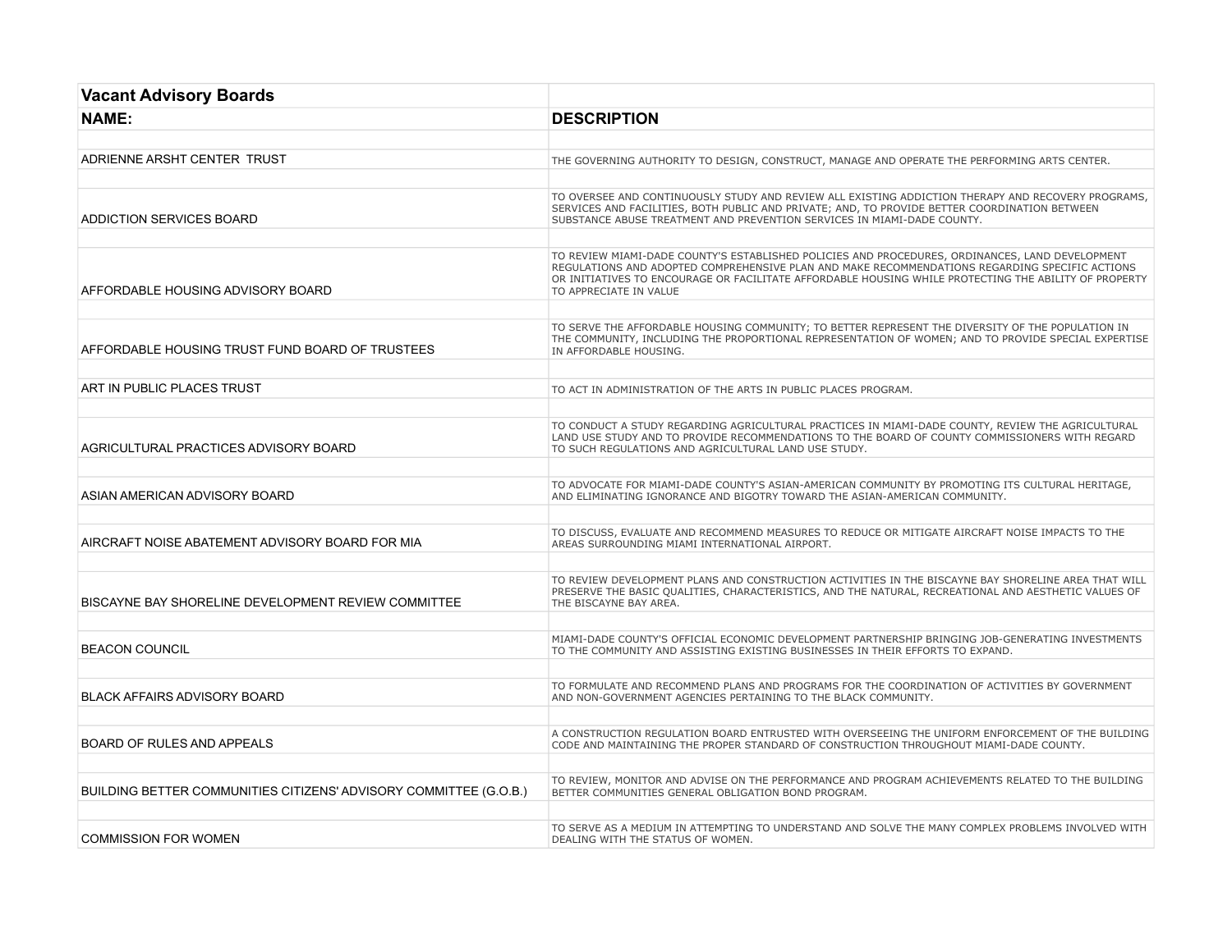| <b>Vacant Advisory Boards</b>                                     |                                                                                                                                                                                                                                                                                                                                      |
|-------------------------------------------------------------------|--------------------------------------------------------------------------------------------------------------------------------------------------------------------------------------------------------------------------------------------------------------------------------------------------------------------------------------|
| <b>NAME:</b>                                                      | <b>DESCRIPTION</b>                                                                                                                                                                                                                                                                                                                   |
|                                                                   |                                                                                                                                                                                                                                                                                                                                      |
| ADRIENNE ARSHT CENTER TRUST                                       | THE GOVERNING AUTHORITY TO DESIGN, CONSTRUCT, MANAGE AND OPERATE THE PERFORMING ARTS CENTER.                                                                                                                                                                                                                                         |
|                                                                   |                                                                                                                                                                                                                                                                                                                                      |
| ADDICTION SERVICES BOARD                                          | TO OVERSEE AND CONTINUOUSLY STUDY AND REVIEW ALL EXISTING ADDICTION THERAPY AND RECOVERY PROGRAMS,<br>SERVICES AND FACILITIES, BOTH PUBLIC AND PRIVATE; AND, TO PROVIDE BETTER COORDINATION BETWEEN<br>SUBSTANCE ABUSE TREATMENT AND PREVENTION SERVICES IN MIAMI-DADE COUNTY.                                                       |
|                                                                   |                                                                                                                                                                                                                                                                                                                                      |
| AFFORDABLE HOUSING ADVISORY BOARD                                 | TO REVIEW MIAMI-DADE COUNTY'S ESTABLISHED POLICIES AND PROCEDURES, ORDINANCES, LAND DEVELOPMENT<br>REGULATIONS AND ADOPTED COMPREHENSIVE PLAN AND MAKE RECOMMENDATIONS REGARDING SPECIFIC ACTIONS<br>OR INITIATIVES TO ENCOURAGE OR FACILITATE AFFORDABLE HOUSING WHILE PROTECTING THE ABILITY OF PROPERTY<br>TO APPRECIATE IN VALUE |
|                                                                   |                                                                                                                                                                                                                                                                                                                                      |
| AFFORDABLE HOUSING TRUST FUND BOARD OF TRUSTEES                   | TO SERVE THE AFFORDABLE HOUSING COMMUNITY; TO BETTER REPRESENT THE DIVERSITY OF THE POPULATION IN<br>THE COMMUNITY, INCLUDING THE PROPORTIONAL REPRESENTATION OF WOMEN; AND TO PROVIDE SPECIAL EXPERTISE<br>IN AFFORDABLE HOUSING.                                                                                                   |
|                                                                   |                                                                                                                                                                                                                                                                                                                                      |
| ART IN PUBLIC PLACES TRUST                                        | TO ACT IN ADMINISTRATION OF THE ARTS IN PUBLIC PLACES PROGRAM.                                                                                                                                                                                                                                                                       |
|                                                                   |                                                                                                                                                                                                                                                                                                                                      |
| AGRICULTURAL PRACTICES ADVISORY BOARD                             | TO CONDUCT A STUDY REGARDING AGRICULTURAL PRACTICES IN MIAMI-DADE COUNTY, REVIEW THE AGRICULTURAL<br>LAND USE STUDY AND TO PROVIDE RECOMMENDATIONS TO THE BOARD OF COUNTY COMMISSIONERS WITH REGARD<br>TO SUCH REGULATIONS AND AGRICULTURAL LAND USE STUDY.                                                                          |
|                                                                   |                                                                                                                                                                                                                                                                                                                                      |
| ASIAN AMERICAN ADVISORY BOARD                                     | TO ADVOCATE FOR MIAMI-DADE COUNTY'S ASIAN-AMERICAN COMMUNITY BY PROMOTING ITS CULTURAL HERITAGE,<br>AND ELIMINATING IGNORANCE AND BIGOTRY TOWARD THE ASIAN-AMERICAN COMMUNITY.                                                                                                                                                       |
|                                                                   |                                                                                                                                                                                                                                                                                                                                      |
| AIRCRAFT NOISE ABATEMENT ADVISORY BOARD FOR MIA                   | TO DISCUSS, EVALUATE AND RECOMMEND MEASURES TO REDUCE OR MITIGATE AIRCRAFT NOISE IMPACTS TO THE<br>AREAS SURROUNDING MIAMI INTERNATIONAL AIRPORT.                                                                                                                                                                                    |
|                                                                   |                                                                                                                                                                                                                                                                                                                                      |
| BISCAYNE BAY SHORELINE DEVELOPMENT REVIEW COMMITTEE               | TO REVIEW DEVELOPMENT PLANS AND CONSTRUCTION ACTIVITIES IN THE BISCAYNE BAY SHORELINE AREA THAT WILL<br>PRESERVE THE BASIC QUALITIES, CHARACTERISTICS, AND THE NATURAL, RECREATIONAL AND AESTHETIC VALUES OF<br>THE BISCAYNE BAY AREA.                                                                                               |
|                                                                   |                                                                                                                                                                                                                                                                                                                                      |
| <b>BEACON COUNCIL</b>                                             | MIAMI-DADE COUNTY'S OFFICIAL ECONOMIC DEVELOPMENT PARTNERSHIP BRINGING JOB-GENERATING INVESTMENTS<br>TO THE COMMUNITY AND ASSISTING EXISTING BUSINESSES IN THEIR EFFORTS TO EXPAND.                                                                                                                                                  |
|                                                                   |                                                                                                                                                                                                                                                                                                                                      |
| <b>BLACK AFFAIRS ADVISORY BOARD</b>                               | TO FORMULATE AND RECOMMEND PLANS AND PROGRAMS FOR THE COORDINATION OF ACTIVITIES BY GOVERNMENT<br>AND NON-GOVERNMENT AGENCIES PERTAINING TO THE BLACK COMMUNITY.                                                                                                                                                                     |
|                                                                   |                                                                                                                                                                                                                                                                                                                                      |
| <b>BOARD OF RULES AND APPEALS</b>                                 | A CONSTRUCTION REGULATION BOARD ENTRUSTED WITH OVERSEEING THE UNIFORM ENFORCEMENT OF THE BUILDING<br>CODE AND MAINTAINING THE PROPER STANDARD OF CONSTRUCTION THROUGHOUT MIAMI-DADE COUNTY.                                                                                                                                          |
|                                                                   |                                                                                                                                                                                                                                                                                                                                      |
| BUILDING BETTER COMMUNITIES CITIZENS' ADVISORY COMMITTEE (G.O.B.) | TO REVIEW, MONITOR AND ADVISE ON THE PERFORMANCE AND PROGRAM ACHIEVEMENTS RELATED TO THE BUILDING<br>BETTER COMMUNITIES GENERAL OBLIGATION BOND PROGRAM.                                                                                                                                                                             |
|                                                                   |                                                                                                                                                                                                                                                                                                                                      |
| <b>COMMISSION FOR WOMEN</b>                                       | TO SERVE AS A MEDIUM IN ATTEMPTING TO UNDERSTAND AND SOLVE THE MANY COMPLEX PROBLEMS INVOLVED WITH<br>DEALING WITH THE STATUS OF WOMEN.                                                                                                                                                                                              |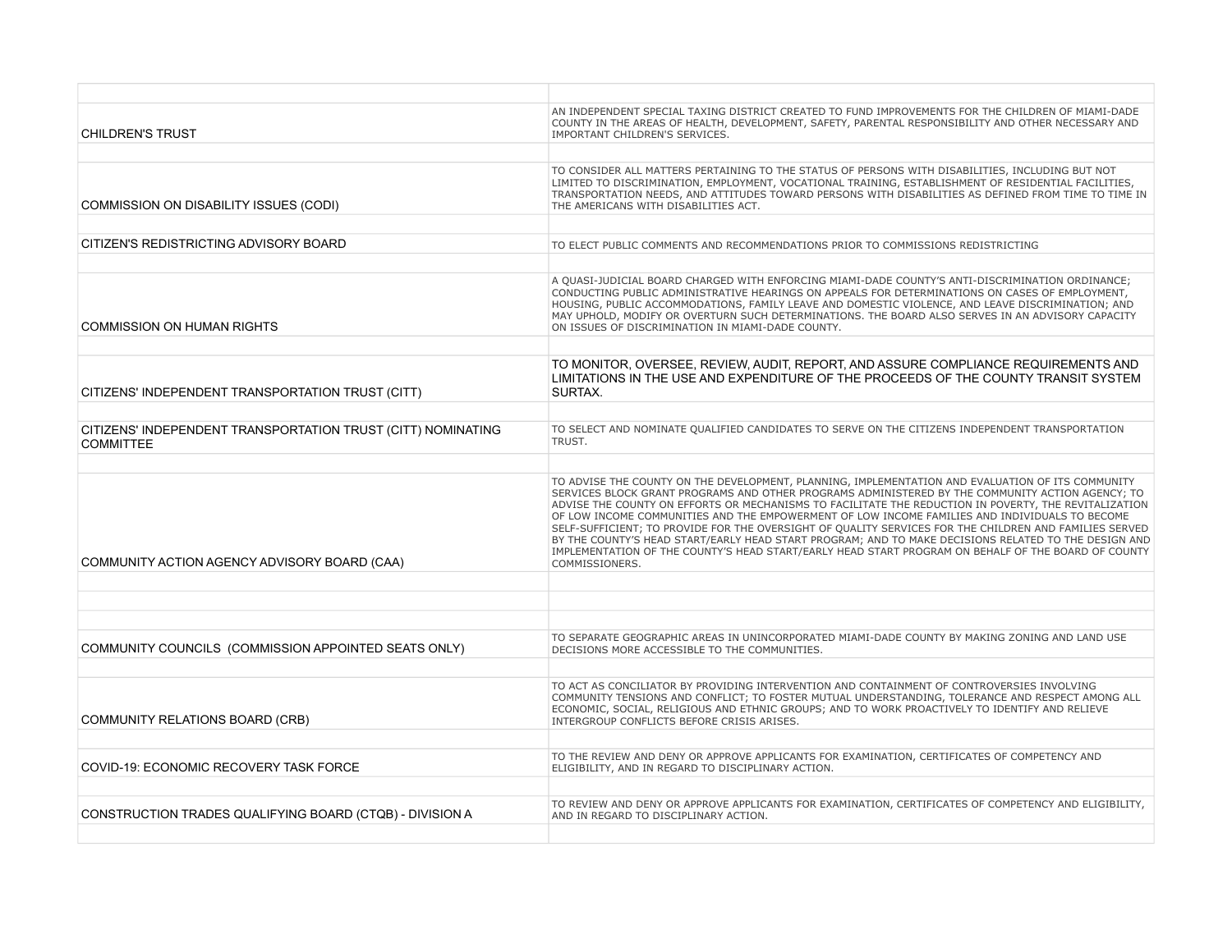| <b>CHILDREN'S TRUST</b>                                                          | AN INDEPENDENT SPECIAL TAXING DISTRICT CREATED TO FUND IMPROVEMENTS FOR THE CHILDREN OF MIAMI-DADE<br>COUNTY IN THE AREAS OF HEALTH, DEVELOPMENT, SAFETY, PARENTAL RESPONSIBILITY AND OTHER NECESSARY AND<br>IMPORTANT CHILDREN'S SERVICES.                                                                                                                                                                                                                                                                                                                                                                                                                                                                                                                 |
|----------------------------------------------------------------------------------|-------------------------------------------------------------------------------------------------------------------------------------------------------------------------------------------------------------------------------------------------------------------------------------------------------------------------------------------------------------------------------------------------------------------------------------------------------------------------------------------------------------------------------------------------------------------------------------------------------------------------------------------------------------------------------------------------------------------------------------------------------------|
|                                                                                  |                                                                                                                                                                                                                                                                                                                                                                                                                                                                                                                                                                                                                                                                                                                                                             |
| COMMISSION ON DISABILITY ISSUES (CODI)                                           | TO CONSIDER ALL MATTERS PERTAINING TO THE STATUS OF PERSONS WITH DISABILITIES, INCLUDING BUT NOT<br>LIMITED TO DISCRIMINATION, EMPLOYMENT, VOCATIONAL TRAINING, ESTABLISHMENT OF RESIDENTIAL FACILITIES,<br>TRANSPORTATION NEEDS, AND ATTITUDES TOWARD PERSONS WITH DISABILITIES AS DEFINED FROM TIME TO TIME IN<br>THE AMERICANS WITH DISABILITIES ACT.                                                                                                                                                                                                                                                                                                                                                                                                    |
|                                                                                  |                                                                                                                                                                                                                                                                                                                                                                                                                                                                                                                                                                                                                                                                                                                                                             |
| CITIZEN'S REDISTRICTING ADVISORY BOARD                                           | TO ELECT PUBLIC COMMENTS AND RECOMMENDATIONS PRIOR TO COMMISSIONS REDISTRICTING                                                                                                                                                                                                                                                                                                                                                                                                                                                                                                                                                                                                                                                                             |
|                                                                                  |                                                                                                                                                                                                                                                                                                                                                                                                                                                                                                                                                                                                                                                                                                                                                             |
| <b>COMMISSION ON HUMAN RIGHTS</b>                                                | A QUASI-JUDICIAL BOARD CHARGED WITH ENFORCING MIAMI-DADE COUNTY'S ANTI-DISCRIMINATION ORDINANCE;<br>CONDUCTING PUBLIC ADMINISTRATIVE HEARINGS ON APPEALS FOR DETERMINATIONS ON CASES OF EMPLOYMENT,<br>HOUSING, PUBLIC ACCOMMODATIONS, FAMILY LEAVE AND DOMESTIC VIOLENCE, AND LEAVE DISCRIMINATION; AND<br>MAY UPHOLD, MODIFY OR OVERTURN SUCH DETERMINATIONS. THE BOARD ALSO SERVES IN AN ADVISORY CAPACITY<br>ON ISSUES OF DISCRIMINATION IN MIAMI-DADE COUNTY.                                                                                                                                                                                                                                                                                          |
|                                                                                  |                                                                                                                                                                                                                                                                                                                                                                                                                                                                                                                                                                                                                                                                                                                                                             |
| CITIZENS' INDEPENDENT TRANSPORTATION TRUST (CITT)                                | TO MONITOR, OVERSEE, REVIEW, AUDIT, REPORT, AND ASSURE COMPLIANCE REQUIREMENTS AND<br>LIMITATIONS IN THE USE AND EXPENDITURE OF THE PROCEEDS OF THE COUNTY TRANSIT SYSTEM<br>SURTAX.                                                                                                                                                                                                                                                                                                                                                                                                                                                                                                                                                                        |
|                                                                                  |                                                                                                                                                                                                                                                                                                                                                                                                                                                                                                                                                                                                                                                                                                                                                             |
| CITIZENS' INDEPENDENT TRANSPORTATION TRUST (CITT) NOMINATING<br><b>COMMITTEE</b> | TO SELECT AND NOMINATE QUALIFIED CANDIDATES TO SERVE ON THE CITIZENS INDEPENDENT TRANSPORTATION<br>TRUST.                                                                                                                                                                                                                                                                                                                                                                                                                                                                                                                                                                                                                                                   |
|                                                                                  |                                                                                                                                                                                                                                                                                                                                                                                                                                                                                                                                                                                                                                                                                                                                                             |
| COMMUNITY ACTION AGENCY ADVISORY BOARD (CAA)                                     | TO ADVISE THE COUNTY ON THE DEVELOPMENT, PLANNING, IMPLEMENTATION AND EVALUATION OF ITS COMMUNITY<br>SERVICES BLOCK GRANT PROGRAMS AND OTHER PROGRAMS ADMINISTERED BY THE COMMUNITY ACTION AGENCY; TO<br>ADVISE THE COUNTY ON EFFORTS OR MECHANISMS TO FACILITATE THE REDUCTION IN POVERTY, THE REVITALIZATION<br>OF LOW INCOME COMMUNITIES AND THE EMPOWERMENT OF LOW INCOME FAMILIES AND INDIVIDUALS TO BECOME<br>SELF-SUFFICIENT; TO PROVIDE FOR THE OVERSIGHT OF QUALITY SERVICES FOR THE CHILDREN AND FAMILIES SERVED<br>BY THE COUNTY'S HEAD START/EARLY HEAD START PROGRAM; AND TO MAKE DECISIONS RELATED TO THE DESIGN AND<br>IMPLEMENTATION OF THE COUNTY'S HEAD START/EARLY HEAD START PROGRAM ON BEHALF OF THE BOARD OF COUNTY<br>COMMISSIONERS. |
|                                                                                  |                                                                                                                                                                                                                                                                                                                                                                                                                                                                                                                                                                                                                                                                                                                                                             |
|                                                                                  |                                                                                                                                                                                                                                                                                                                                                                                                                                                                                                                                                                                                                                                                                                                                                             |
|                                                                                  |                                                                                                                                                                                                                                                                                                                                                                                                                                                                                                                                                                                                                                                                                                                                                             |
| COMMUNITY COUNCILS (COMMISSION APPOINTED SEATS ONLY)                             | TO SEPARATE GEOGRAPHIC AREAS IN UNINCORPORATED MIAMI-DADE COUNTY BY MAKING ZONING AND LAND USE<br>DECISIONS MORE ACCESSIBLE TO THE COMMUNITIES.                                                                                                                                                                                                                                                                                                                                                                                                                                                                                                                                                                                                             |
|                                                                                  |                                                                                                                                                                                                                                                                                                                                                                                                                                                                                                                                                                                                                                                                                                                                                             |
| <b>COMMUNITY RELATIONS BOARD (CRB)</b>                                           | TO ACT AS CONCILIATOR BY PROVIDING INTERVENTION AND CONTAINMENT OF CONTROVERSIES INVOLVING<br>COMMUNITY TENSIONS AND CONFLICT; TO FOSTER MUTUAL UNDERSTANDING, TOLERANCE AND RESPECT AMONG ALL<br>ECONOMIC, SOCIAL, RELIGIOUS AND ETHNIC GROUPS; AND TO WORK PROACTIVELY TO IDENTIFY AND RELIEVE<br>INTERGROUP CONFLICTS BEFORE CRISIS ARISES.                                                                                                                                                                                                                                                                                                                                                                                                              |
|                                                                                  |                                                                                                                                                                                                                                                                                                                                                                                                                                                                                                                                                                                                                                                                                                                                                             |
| <b>COVID-19: ECONOMIC RECOVERY TASK FORCE</b>                                    | TO THE REVIEW AND DENY OR APPROVE APPLICANTS FOR EXAMINATION, CERTIFICATES OF COMPETENCY AND<br>ELIGIBILITY, AND IN REGARD TO DISCIPLINARY ACTION.                                                                                                                                                                                                                                                                                                                                                                                                                                                                                                                                                                                                          |
|                                                                                  |                                                                                                                                                                                                                                                                                                                                                                                                                                                                                                                                                                                                                                                                                                                                                             |
| CONSTRUCTION TRADES QUALIFYING BOARD (CTQB) - DIVISION A                         | TO REVIEW AND DENY OR APPROVE APPLICANTS FOR EXAMINATION, CERTIFICATES OF COMPETENCY AND ELIGIBILITY,<br>AND IN REGARD TO DISCIPLINARY ACTION.                                                                                                                                                                                                                                                                                                                                                                                                                                                                                                                                                                                                              |
|                                                                                  |                                                                                                                                                                                                                                                                                                                                                                                                                                                                                                                                                                                                                                                                                                                                                             |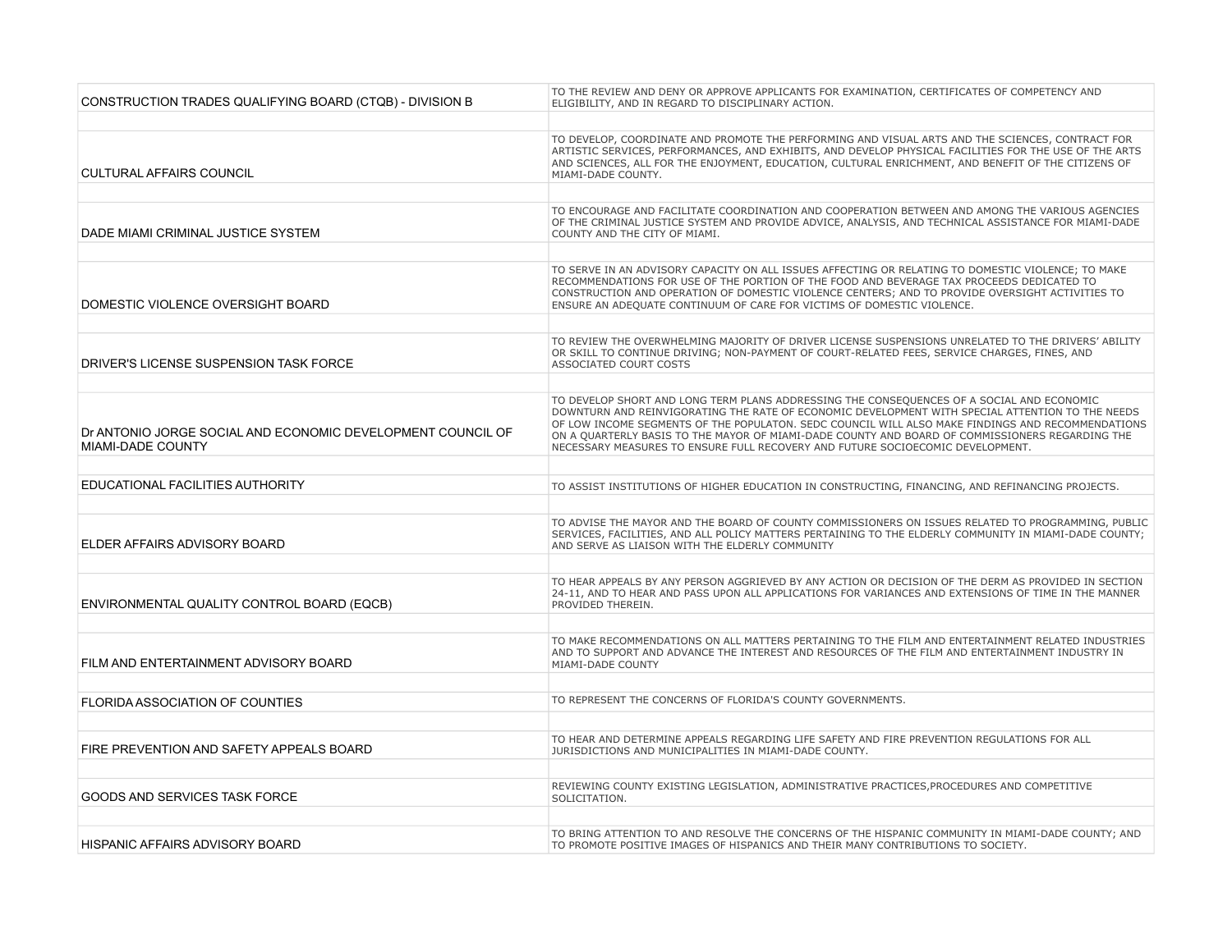| CONSTRUCTION TRADES QUALIFYING BOARD (CTQB) - DIVISION B                                | TO THE REVIEW AND DENY OR APPROVE APPLICANTS FOR EXAMINATION, CERTIFICATES OF COMPETENCY AND<br>ELIGIBILITY, AND IN REGARD TO DISCIPLINARY ACTION.                                                                                                                                                                                                                                                                                                                                      |
|-----------------------------------------------------------------------------------------|-----------------------------------------------------------------------------------------------------------------------------------------------------------------------------------------------------------------------------------------------------------------------------------------------------------------------------------------------------------------------------------------------------------------------------------------------------------------------------------------|
|                                                                                         |                                                                                                                                                                                                                                                                                                                                                                                                                                                                                         |
| <b>CULTURAL AFFAIRS COUNCIL</b>                                                         | TO DEVELOP, COORDINATE AND PROMOTE THE PERFORMING AND VISUAL ARTS AND THE SCIENCES, CONTRACT FOR<br>ARTISTIC SERVICES, PERFORMANCES, AND EXHIBITS, AND DEVELOP PHYSICAL FACILITIES FOR THE USE OF THE ARTS<br>AND SCIENCES, ALL FOR THE ENJOYMENT, EDUCATION, CULTURAL ENRICHMENT, AND BENEFIT OF THE CITIZENS OF<br>MIAMI-DADE COUNTY.                                                                                                                                                 |
|                                                                                         |                                                                                                                                                                                                                                                                                                                                                                                                                                                                                         |
| DADE MIAMI CRIMINAL JUSTICE SYSTEM                                                      | TO ENCOURAGE AND FACILITATE COORDINATION AND COOPERATION BETWEEN AND AMONG THE VARIOUS AGENCIES<br>OF THE CRIMINAL JUSTICE SYSTEM AND PROVIDE ADVICE, ANALYSIS, AND TECHNICAL ASSISTANCE FOR MIAMI-DADE<br>COUNTY AND THE CITY OF MIAMI.                                                                                                                                                                                                                                                |
|                                                                                         |                                                                                                                                                                                                                                                                                                                                                                                                                                                                                         |
| DOMESTIC VIOLENCE OVERSIGHT BOARD                                                       | TO SERVE IN AN ADVISORY CAPACITY ON ALL ISSUES AFFECTING OR RELATING TO DOMESTIC VIOLENCE; TO MAKE<br>RECOMMENDATIONS FOR USE OF THE PORTION OF THE FOOD AND BEVERAGE TAX PROCEEDS DEDICATED TO<br>CONSTRUCTION AND OPERATION OF DOMESTIC VIOLENCE CENTERS; AND TO PROVIDE OVERSIGHT ACTIVITIES TO<br>ENSURE AN ADEQUATE CONTINUUM OF CARE FOR VICTIMS OF DOMESTIC VIOLENCE.                                                                                                            |
|                                                                                         |                                                                                                                                                                                                                                                                                                                                                                                                                                                                                         |
| DRIVER'S LICENSE SUSPENSION TASK FORCE                                                  | TO REVIEW THE OVERWHELMING MAJORITY OF DRIVER LICENSE SUSPENSIONS UNRELATED TO THE DRIVERS' ABILITY<br>OR SKILL TO CONTINUE DRIVING; NON-PAYMENT OF COURT-RELATED FEES, SERVICE CHARGES, FINES, AND<br>ASSOCIATED COURT COSTS                                                                                                                                                                                                                                                           |
|                                                                                         |                                                                                                                                                                                                                                                                                                                                                                                                                                                                                         |
| Dr ANTONIO JORGE SOCIAL AND ECONOMIC DEVELOPMENT COUNCIL OF<br><b>MIAMI-DADE COUNTY</b> | TO DEVELOP SHORT AND LONG TERM PLANS ADDRESSING THE CONSEQUENCES OF A SOCIAL AND ECONOMIC<br>DOWNTURN AND REINVIGORATING THE RATE OF ECONOMIC DEVELOPMENT WITH SPECIAL ATTENTION TO THE NEEDS<br>OF LOW INCOME SEGMENTS OF THE POPULATON. SEDC COUNCIL WILL ALSO MAKE FINDINGS AND RECOMMENDATIONS<br>ON A QUARTERLY BASIS TO THE MAYOR OF MIAMI-DADE COUNTY AND BOARD OF COMMISSIONERS REGARDING THE<br>NECESSARY MEASURES TO ENSURE FULL RECOVERY AND FUTURE SOCIOECOMIC DEVELOPMENT. |
|                                                                                         |                                                                                                                                                                                                                                                                                                                                                                                                                                                                                         |
| EDUCATIONAL FACILITIES AUTHORITY                                                        | TO ASSIST INSTITUTIONS OF HIGHER EDUCATION IN CONSTRUCTING, FINANCING, AND REFINANCING PROJECTS.                                                                                                                                                                                                                                                                                                                                                                                        |
|                                                                                         |                                                                                                                                                                                                                                                                                                                                                                                                                                                                                         |
| ELDER AFFAIRS ADVISORY BOARD                                                            | TO ADVISE THE MAYOR AND THE BOARD OF COUNTY COMMISSIONERS ON ISSUES RELATED TO PROGRAMMING, PUBLIC<br>SERVICES, FACILITIES, AND ALL POLICY MATTERS PERTAINING TO THE ELDERLY COMMUNITY IN MIAMI-DADE COUNTY;<br>AND SERVE AS LIAISON WITH THE ELDERLY COMMUNITY                                                                                                                                                                                                                         |
|                                                                                         |                                                                                                                                                                                                                                                                                                                                                                                                                                                                                         |
| ENVIRONMENTAL QUALITY CONTROL BOARD (EQCB)                                              | TO HEAR APPEALS BY ANY PERSON AGGRIEVED BY ANY ACTION OR DECISION OF THE DERM AS PROVIDED IN SECTION<br>24-11, AND TO HEAR AND PASS UPON ALL APPLICATIONS FOR VARIANCES AND EXTENSIONS OF TIME IN THE MANNER<br>PROVIDED THEREIN.                                                                                                                                                                                                                                                       |
|                                                                                         |                                                                                                                                                                                                                                                                                                                                                                                                                                                                                         |
| FILM AND ENTERTAINMENT ADVISORY BOARD                                                   | TO MAKE RECOMMENDATIONS ON ALL MATTERS PERTAINING TO THE FILM AND ENTERTAINMENT RELATED INDUSTRIES<br>AND TO SUPPORT AND ADVANCE THE INTEREST AND RESOURCES OF THE FILM AND ENTERTAINMENT INDUSTRY IN<br>MIAMI-DADE COUNTY                                                                                                                                                                                                                                                              |
|                                                                                         |                                                                                                                                                                                                                                                                                                                                                                                                                                                                                         |
| FLORIDA ASSOCIATION OF COUNTIES                                                         | TO REPRESENT THE CONCERNS OF FLORIDA'S COUNTY GOVERNMENTS.                                                                                                                                                                                                                                                                                                                                                                                                                              |
|                                                                                         |                                                                                                                                                                                                                                                                                                                                                                                                                                                                                         |
| FIRE PREVENTION AND SAFETY APPEALS BOARD                                                | TO HEAR AND DETERMINE APPEALS REGARDING LIFE SAFETY AND FIRE PREVENTION REGULATIONS FOR ALL<br>JURISDICTIONS AND MUNICIPALITIES IN MIAMI-DADE COUNTY.                                                                                                                                                                                                                                                                                                                                   |
|                                                                                         |                                                                                                                                                                                                                                                                                                                                                                                                                                                                                         |
| GOODS AND SERVICES TASK FORCE                                                           | REVIEWING COUNTY EXISTING LEGISLATION, ADMINISTRATIVE PRACTICES, PROCEDURES AND COMPETITIVE<br>SOLICITATION.                                                                                                                                                                                                                                                                                                                                                                            |
|                                                                                         |                                                                                                                                                                                                                                                                                                                                                                                                                                                                                         |
| HISPANIC AFFAIRS ADVISORY BOARD                                                         | TO BRING ATTENTION TO AND RESOLVE THE CONCERNS OF THE HISPANIC COMMUNITY IN MIAMI-DADE COUNTY; AND<br>TO PROMOTE POSITIVE IMAGES OF HISPANICS AND THEIR MANY CONTRIBUTIONS TO SOCIETY.                                                                                                                                                                                                                                                                                                  |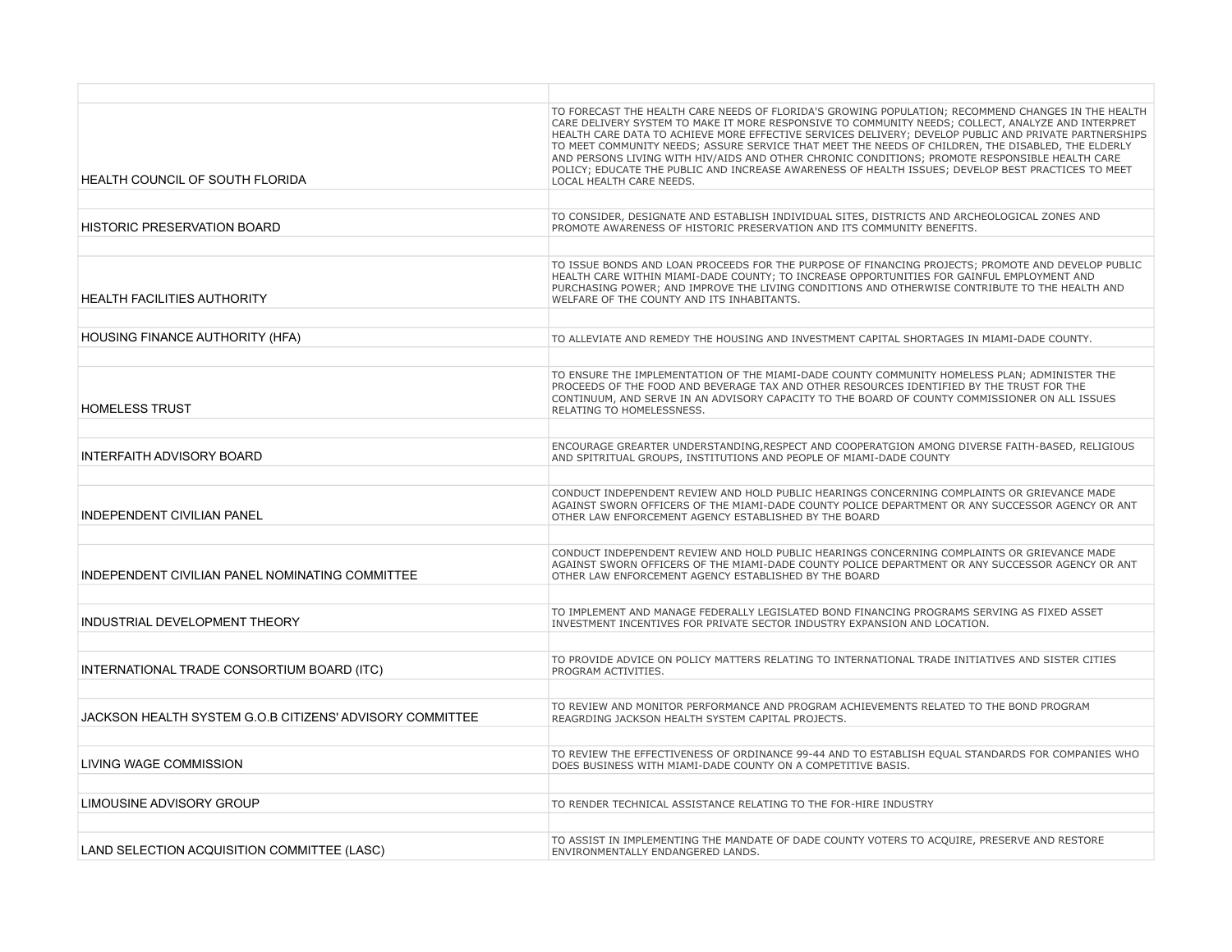| HEALTH COUNCIL OF SOUTH FLORIDA                          | TO FORECAST THE HEALTH CARE NEEDS OF FLORIDA'S GROWING POPULATION; RECOMMEND CHANGES IN THE HEALTH<br>CARE DELIVERY SYSTEM TO MAKE IT MORE RESPONSIVE TO COMMUNITY NEEDS; COLLECT, ANALYZE AND INTERPRET<br>HEALTH CARE DATA TO ACHIEVE MORE EFFECTIVE SERVICES DELIVERY; DEVELOP PUBLIC AND PRIVATE PARTNERSHIPS<br>TO MEET COMMUNITY NEEDS; ASSURE SERVICE THAT MEET THE NEEDS OF CHILDREN, THE DISABLED, THE ELDERLY<br>AND PERSONS LIVING WITH HIV/AIDS AND OTHER CHRONIC CONDITIONS; PROMOTE RESPONSIBLE HEALTH CARE<br>POLICY; EDUCATE THE PUBLIC AND INCREASE AWARENESS OF HEALTH ISSUES; DEVELOP BEST PRACTICES TO MEET<br>LOCAL HEALTH CARE NEEDS. |
|----------------------------------------------------------|-------------------------------------------------------------------------------------------------------------------------------------------------------------------------------------------------------------------------------------------------------------------------------------------------------------------------------------------------------------------------------------------------------------------------------------------------------------------------------------------------------------------------------------------------------------------------------------------------------------------------------------------------------------|
|                                                          |                                                                                                                                                                                                                                                                                                                                                                                                                                                                                                                                                                                                                                                             |
| <b>HISTORIC PRESERVATION BOARD</b>                       | TO CONSIDER, DESIGNATE AND ESTABLISH INDIVIDUAL SITES, DISTRICTS AND ARCHEOLOGICAL ZONES AND<br>PROMOTE AWARENESS OF HISTORIC PRESERVATION AND ITS COMMUNITY BENEFITS.                                                                                                                                                                                                                                                                                                                                                                                                                                                                                      |
|                                                          |                                                                                                                                                                                                                                                                                                                                                                                                                                                                                                                                                                                                                                                             |
| <b>HEALTH FACILITIES AUTHORITY</b>                       | TO ISSUE BONDS AND LOAN PROCEEDS FOR THE PURPOSE OF FINANCING PROJECTS; PROMOTE AND DEVELOP PUBLIC<br>HEALTH CARE WITHIN MIAMI-DADE COUNTY; TO INCREASE OPPORTUNITIES FOR GAINFUL EMPLOYMENT AND<br>PURCHASING POWER; AND IMPROVE THE LIVING CONDITIONS AND OTHERWISE CONTRIBUTE TO THE HEALTH AND<br>WELFARE OF THE COUNTY AND ITS INHABITANTS.                                                                                                                                                                                                                                                                                                            |
|                                                          |                                                                                                                                                                                                                                                                                                                                                                                                                                                                                                                                                                                                                                                             |
| <b>HOUSING FINANCE AUTHORITY (HFA)</b>                   | TO ALLEVIATE AND REMEDY THE HOUSING AND INVESTMENT CAPITAL SHORTAGES IN MIAMI-DADE COUNTY.                                                                                                                                                                                                                                                                                                                                                                                                                                                                                                                                                                  |
| <b>HOMELESS TRUST</b>                                    | TO ENSURE THE IMPLEMENTATION OF THE MIAMI-DADE COUNTY COMMUNITY HOMELESS PLAN; ADMINISTER THE<br>PROCEEDS OF THE FOOD AND BEVERAGE TAX AND OTHER RESOURCES IDENTIFIED BY THE TRUST FOR THE<br>CONTINUUM, AND SERVE IN AN ADVISORY CAPACITY TO THE BOARD OF COUNTY COMMISSIONER ON ALL ISSUES<br>RELATING TO HOMELESSNESS.                                                                                                                                                                                                                                                                                                                                   |
|                                                          |                                                                                                                                                                                                                                                                                                                                                                                                                                                                                                                                                                                                                                                             |
| <b>INTERFAITH ADVISORY BOARD</b>                         | ENCOURAGE GREARTER UNDERSTANDING, RESPECT AND COOPERATGION AMONG DIVERSE FAITH-BASED, RELIGIOUS<br>AND SPITRITUAL GROUPS, INSTITUTIONS AND PEOPLE OF MIAMI-DADE COUNTY                                                                                                                                                                                                                                                                                                                                                                                                                                                                                      |
|                                                          |                                                                                                                                                                                                                                                                                                                                                                                                                                                                                                                                                                                                                                                             |
| <b>INDEPENDENT CIVILIAN PANEL</b>                        | CONDUCT INDEPENDENT REVIEW AND HOLD PUBLIC HEARINGS CONCERNING COMPLAINTS OR GRIEVANCE MADE<br>AGAINST SWORN OFFICERS OF THE MIAMI-DADE COUNTY POLICE DEPARTMENT OR ANY SUCCESSOR AGENCY OR ANT<br>OTHER LAW ENFORCEMENT AGENCY ESTABLISHED BY THE BOARD                                                                                                                                                                                                                                                                                                                                                                                                    |
|                                                          |                                                                                                                                                                                                                                                                                                                                                                                                                                                                                                                                                                                                                                                             |
| INDEPENDENT CIVILIAN PANEL NOMINATING COMMITTEE          | CONDUCT INDEPENDENT REVIEW AND HOLD PUBLIC HEARINGS CONCERNING COMPLAINTS OR GRIEVANCE MADE<br>AGAINST SWORN OFFICERS OF THE MIAMI-DADE COUNTY POLICE DEPARTMENT OR ANY SUCCESSOR AGENCY OR ANT<br>OTHER LAW ENFORCEMENT AGENCY ESTABLISHED BY THE BOARD                                                                                                                                                                                                                                                                                                                                                                                                    |
|                                                          |                                                                                                                                                                                                                                                                                                                                                                                                                                                                                                                                                                                                                                                             |
| INDUSTRIAL DEVELOPMENT THEORY                            | TO IMPLEMENT AND MANAGE FEDERALLY LEGISLATED BOND FINANCING PROGRAMS SERVING AS FIXED ASSET<br>INVESTMENT INCENTIVES FOR PRIVATE SECTOR INDUSTRY EXPANSION AND LOCATION.                                                                                                                                                                                                                                                                                                                                                                                                                                                                                    |
|                                                          |                                                                                                                                                                                                                                                                                                                                                                                                                                                                                                                                                                                                                                                             |
| INTERNATIONAL TRADE CONSORTIUM BOARD (ITC)               | TO PROVIDE ADVICE ON POLICY MATTERS RELATING TO INTERNATIONAL TRADE INITIATIVES AND SISTER CITIES<br>PROGRAM ACTIVITIES.                                                                                                                                                                                                                                                                                                                                                                                                                                                                                                                                    |
|                                                          |                                                                                                                                                                                                                                                                                                                                                                                                                                                                                                                                                                                                                                                             |
| JACKSON HEALTH SYSTEM G.O.B CITIZENS' ADVISORY COMMITTEE | TO REVIEW AND MONITOR PERFORMANCE AND PROGRAM ACHIEVEMENTS RELATED TO THE BOND PROGRAM<br>REAGRDING JACKSON HEALTH SYSTEM CAPITAL PROJECTS.                                                                                                                                                                                                                                                                                                                                                                                                                                                                                                                 |
|                                                          |                                                                                                                                                                                                                                                                                                                                                                                                                                                                                                                                                                                                                                                             |
| LIVING WAGE COMMISSION                                   | TO REVIEW THE EFFECTIVENESS OF ORDINANCE 99-44 AND TO ESTABLISH EQUAL STANDARDS FOR COMPANIES WHO<br>DOES BUSINESS WITH MIAMI-DADE COUNTY ON A COMPETITIVE BASIS.                                                                                                                                                                                                                                                                                                                                                                                                                                                                                           |
|                                                          |                                                                                                                                                                                                                                                                                                                                                                                                                                                                                                                                                                                                                                                             |
| LIMOUSINE ADVISORY GROUP                                 | TO RENDER TECHNICAL ASSISTANCE RELATING TO THE FOR-HIRE INDUSTRY                                                                                                                                                                                                                                                                                                                                                                                                                                                                                                                                                                                            |
|                                                          |                                                                                                                                                                                                                                                                                                                                                                                                                                                                                                                                                                                                                                                             |
| LAND SELECTION ACQUISITION COMMITTEE (LASC)              | TO ASSIST IN IMPLEMENTING THE MANDATE OF DADE COUNTY VOTERS TO ACQUIRE, PRESERVE AND RESTORE<br>ENVIRONMENTALLY ENDANGERED LANDS.                                                                                                                                                                                                                                                                                                                                                                                                                                                                                                                           |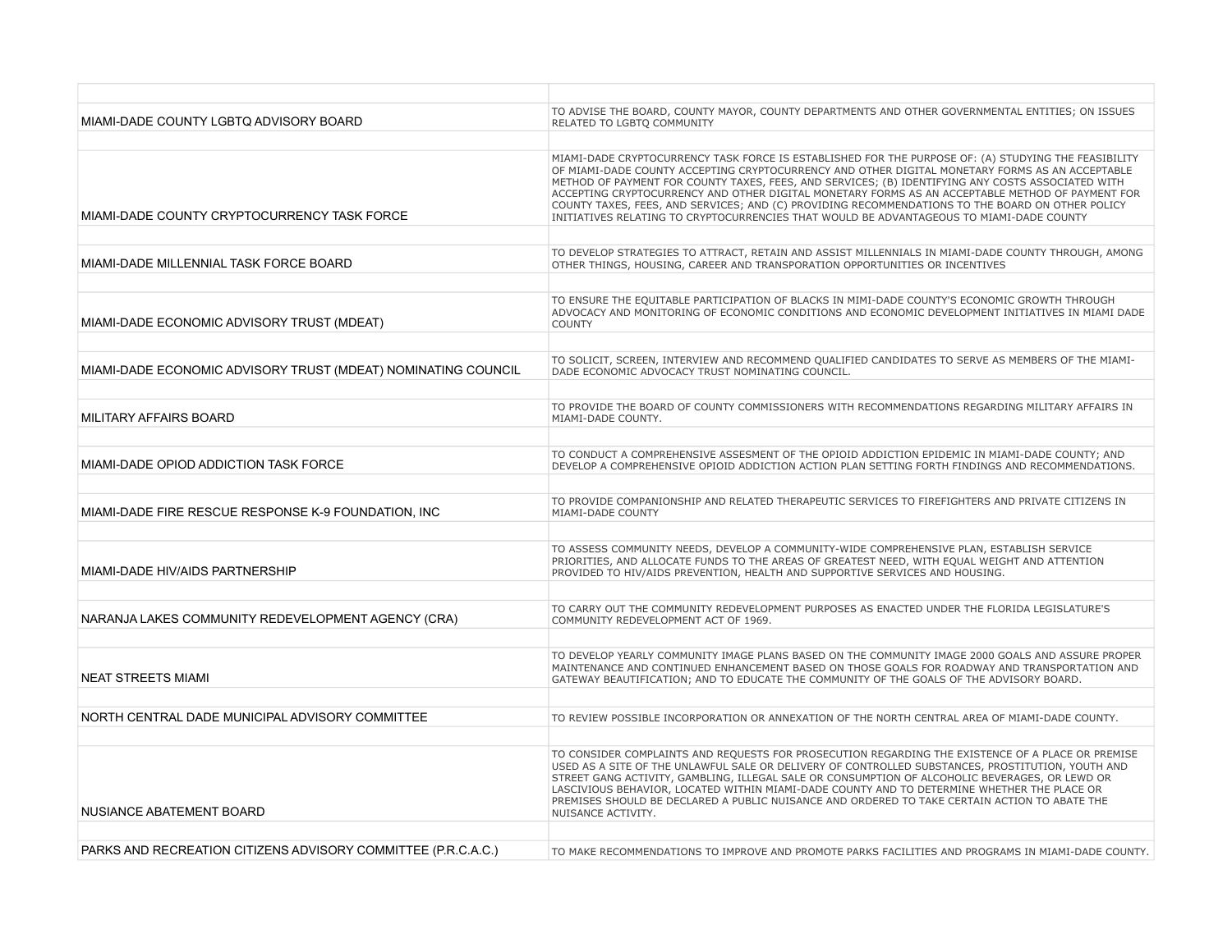| MIAMI-DADE COUNTY LGBTQ ADVISORY BOARD                        | TO ADVISE THE BOARD, COUNTY MAYOR, COUNTY DEPARTMENTS AND OTHER GOVERNMENTAL ENTITIES; ON ISSUES<br>RELATED TO LGBTQ COMMUNITY                                                                                                                                                                                                                                                                                                                                                                                                                                                                                   |
|---------------------------------------------------------------|------------------------------------------------------------------------------------------------------------------------------------------------------------------------------------------------------------------------------------------------------------------------------------------------------------------------------------------------------------------------------------------------------------------------------------------------------------------------------------------------------------------------------------------------------------------------------------------------------------------|
|                                                               |                                                                                                                                                                                                                                                                                                                                                                                                                                                                                                                                                                                                                  |
| MIAMI-DADE COUNTY CRYPTOCURRENCY TASK FORCE                   | MIAMI-DADE CRYPTOCURRENCY TASK FORCE IS ESTABLISHED FOR THE PURPOSE OF: (A) STUDYING THE FEASIBILITY<br>OF MIAMI-DADE COUNTY ACCEPTING CRYPTOCURRENCY AND OTHER DIGITAL MONETARY FORMS AS AN ACCEPTABLE<br>METHOD OF PAYMENT FOR COUNTY TAXES, FEES, AND SERVICES; (B) IDENTIFYING ANY COSTS ASSOCIATED WITH<br>ACCEPTING CRYPTOCURRENCY AND OTHER DIGITAL MONETARY FORMS AS AN ACCEPTABLE METHOD OF PAYMENT FOR<br>COUNTY TAXES, FEES, AND SERVICES; AND (C) PROVIDING RECOMMENDATIONS TO THE BOARD ON OTHER POLICY<br>INITIATIVES RELATING TO CRYPTOCURRENCIES THAT WOULD BE ADVANTAGEOUS TO MIAMI-DADE COUNTY |
|                                                               |                                                                                                                                                                                                                                                                                                                                                                                                                                                                                                                                                                                                                  |
| MIAMI-DADE MILLENNIAL TASK FORCE BOARD                        | TO DEVELOP STRATEGIES TO ATTRACT, RETAIN AND ASSIST MILLENNIALS IN MIAMI-DADE COUNTY THROUGH, AMONG<br>OTHER THINGS, HOUSING, CAREER AND TRANSPORATION OPPORTUNITIES OR INCENTIVES                                                                                                                                                                                                                                                                                                                                                                                                                               |
|                                                               |                                                                                                                                                                                                                                                                                                                                                                                                                                                                                                                                                                                                                  |
| MIAMI-DADE ECONOMIC ADVISORY TRUST (MDEAT)                    | TO ENSURE THE EQUITABLE PARTICIPATION OF BLACKS IN MIMI-DADE COUNTY'S ECONOMIC GROWTH THROUGH<br>ADVOCACY AND MONITORING OF ECONOMIC CONDITIONS AND ECONOMIC DEVELOPMENT INITIATIVES IN MIAMI DADE<br><b>COUNTY</b>                                                                                                                                                                                                                                                                                                                                                                                              |
|                                                               |                                                                                                                                                                                                                                                                                                                                                                                                                                                                                                                                                                                                                  |
| MIAMI-DADE ECONOMIC ADVISORY TRUST (MDEAT) NOMINATING COUNCIL | TO SOLICIT, SCREEN, INTERVIEW AND RECOMMEND QUALIFIED CANDIDATES TO SERVE AS MEMBERS OF THE MIAMI-<br>DADE ECONOMIC ADVOCACY TRUST NOMINATING COUNCIL.                                                                                                                                                                                                                                                                                                                                                                                                                                                           |
|                                                               |                                                                                                                                                                                                                                                                                                                                                                                                                                                                                                                                                                                                                  |
| MILITARY AFFAIRS BOARD                                        | TO PROVIDE THE BOARD OF COUNTY COMMISSIONERS WITH RECOMMENDATIONS REGARDING MILITARY AFFAIRS IN<br>MIAMI-DADE COUNTY.                                                                                                                                                                                                                                                                                                                                                                                                                                                                                            |
|                                                               |                                                                                                                                                                                                                                                                                                                                                                                                                                                                                                                                                                                                                  |
| MIAMI-DADE OPIOD ADDICTION TASK FORCE                         | TO CONDUCT A COMPREHENSIVE ASSESMENT OF THE OPIOID ADDICTION EPIDEMIC IN MIAMI-DADE COUNTY; AND<br>DEVELOP A COMPREHENSIVE OPIOID ADDICTION ACTION PLAN SETTING FORTH FINDINGS AND RECOMMENDATIONS.                                                                                                                                                                                                                                                                                                                                                                                                              |
|                                                               |                                                                                                                                                                                                                                                                                                                                                                                                                                                                                                                                                                                                                  |
| MIAMI-DADE FIRE RESCUE RESPONSE K-9 FOUNDATION, INC           | TO PROVIDE COMPANIONSHIP AND RELATED THERAPEUTIC SERVICES TO FIREFIGHTERS AND PRIVATE CITIZENS IN<br>MIAMI-DADE COUNTY                                                                                                                                                                                                                                                                                                                                                                                                                                                                                           |
|                                                               |                                                                                                                                                                                                                                                                                                                                                                                                                                                                                                                                                                                                                  |
| MIAMI-DADE HIV/AIDS PARTNERSHIP                               | TO ASSESS COMMUNITY NEEDS, DEVELOP A COMMUNITY-WIDE COMPREHENSIVE PLAN, ESTABLISH SERVICE<br>PRIORITIES, AND ALLOCATE FUNDS TO THE AREAS OF GREATEST NEED, WITH EQUAL WEIGHT AND ATTENTION<br>PROVIDED TO HIV/AIDS PREVENTION, HEALTH AND SUPPORTIVE SERVICES AND HOUSING.                                                                                                                                                                                                                                                                                                                                       |
|                                                               |                                                                                                                                                                                                                                                                                                                                                                                                                                                                                                                                                                                                                  |
| NARANJA LAKES COMMUNITY REDEVELOPMENT AGENCY (CRA)            | TO CARRY OUT THE COMMUNITY REDEVELOPMENT PURPOSES AS ENACTED UNDER THE FLORIDA LEGISLATURE'S<br>COMMUNITY REDEVELOPMENT ACT OF 1969.                                                                                                                                                                                                                                                                                                                                                                                                                                                                             |
|                                                               |                                                                                                                                                                                                                                                                                                                                                                                                                                                                                                                                                                                                                  |
| <b>NEAT STREETS MIAMI</b>                                     | TO DEVELOP YEARLY COMMUNITY IMAGE PLANS BASED ON THE COMMUNITY IMAGE 2000 GOALS AND ASSURE PROPER<br>MAINTENANCE AND CONTINUED ENHANCEMENT BASED ON THOSE GOALS FOR ROADWAY AND TRANSPORTATION AND<br>GATEWAY BEAUTIFICATION; AND TO EDUCATE THE COMMUNITY OF THE GOALS OF THE ADVISORY BOARD.                                                                                                                                                                                                                                                                                                                   |
|                                                               |                                                                                                                                                                                                                                                                                                                                                                                                                                                                                                                                                                                                                  |
| NORTH CENTRAL DADE MUNICIPAL ADVISORY COMMITTEE               | TO REVIEW POSSIBLE INCORPORATION OR ANNEXATION OF THE NORTH CENTRAL AREA OF MIAMI-DADE COUNTY.                                                                                                                                                                                                                                                                                                                                                                                                                                                                                                                   |
|                                                               |                                                                                                                                                                                                                                                                                                                                                                                                                                                                                                                                                                                                                  |
| NUSIANCE ABATEMENT BOARD                                      | TO CONSIDER COMPLAINTS AND REQUESTS FOR PROSECUTION REGARDING THE EXISTENCE OF A PLACE OR PREMISE<br>USED AS A SITE OF THE UNLAWFUL SALE OR DELIVERY OF CONTROLLED SUBSTANCES, PROSTITUTION, YOUTH AND<br>STREET GANG ACTIVITY, GAMBLING, ILLEGAL SALE OR CONSUMPTION OF ALCOHOLIC BEVERAGES, OR LEWD OR<br>LASCIVIOUS BEHAVIOR, LOCATED WITHIN MIAMI-DADE COUNTY AND TO DETERMINE WHETHER THE PLACE OR<br>PREMISES SHOULD BE DECLARED A PUBLIC NUISANCE AND ORDERED TO TAKE CERTAIN ACTION TO ABATE THE<br>NUISANCE ACTIVITY.                                                                                   |
|                                                               |                                                                                                                                                                                                                                                                                                                                                                                                                                                                                                                                                                                                                  |
| PARKS AND RECREATION CITIZENS ADVISORY COMMITTEE (P.R.C.A.C.) | TO MAKE RECOMMENDATIONS TO IMPROVE AND PROMOTE PARKS FACILITIES AND PROGRAMS IN MIAMI-DADE COUNTY.                                                                                                                                                                                                                                                                                                                                                                                                                                                                                                               |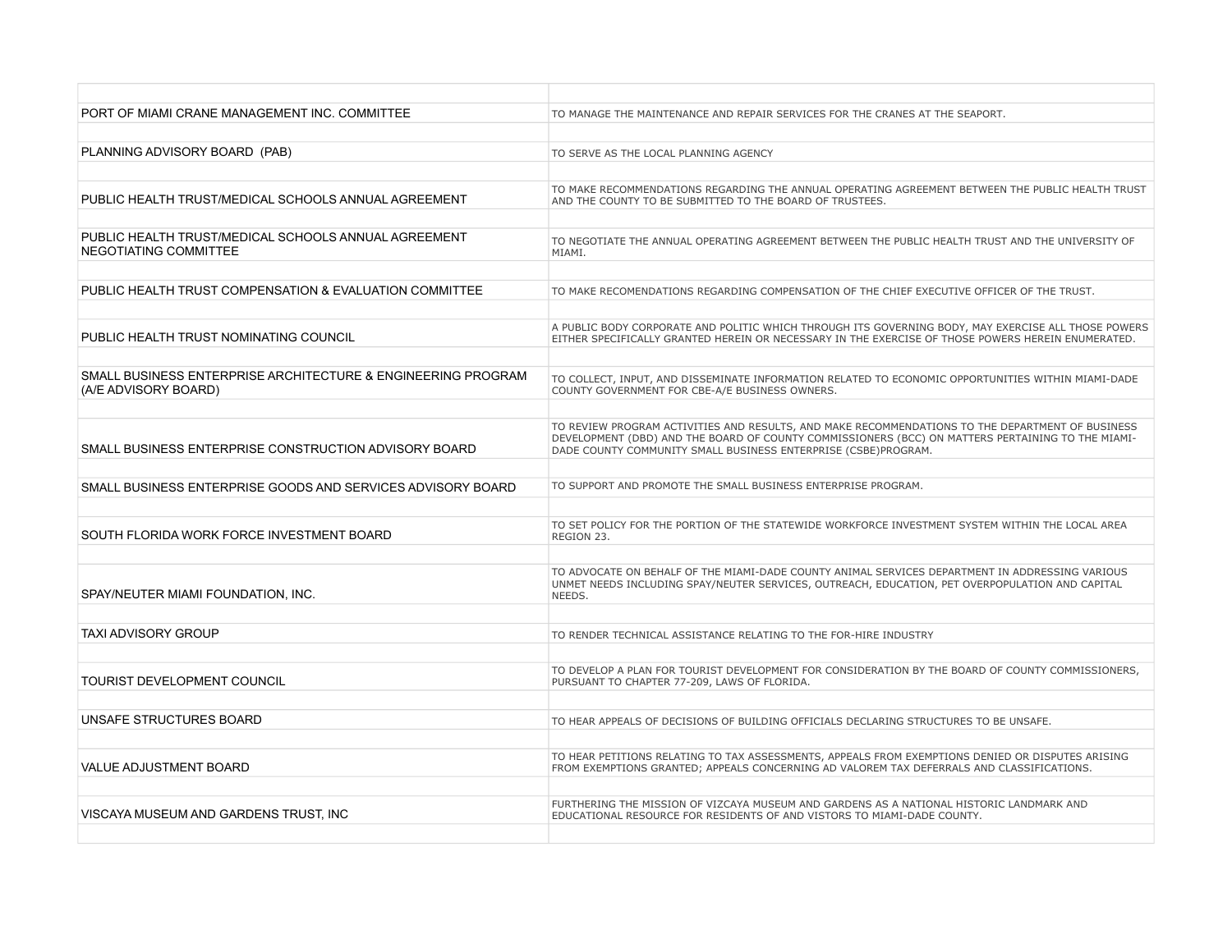| PORT OF MIAMI CRANE MANAGEMENT INC. COMMITTEE                                        | TO MANAGE THE MAINTENANCE AND REPAIR SERVICES FOR THE CRANES AT THE SEAPORT.                                                                                                                                                                                            |
|--------------------------------------------------------------------------------------|-------------------------------------------------------------------------------------------------------------------------------------------------------------------------------------------------------------------------------------------------------------------------|
|                                                                                      |                                                                                                                                                                                                                                                                         |
| PLANNING ADVISORY BOARD (PAB)                                                        | TO SERVE AS THE LOCAL PLANNING AGENCY                                                                                                                                                                                                                                   |
|                                                                                      |                                                                                                                                                                                                                                                                         |
| PUBLIC HEALTH TRUST/MEDICAL SCHOOLS ANNUAL AGREEMENT                                 | TO MAKE RECOMMENDATIONS REGARDING THE ANNUAL OPERATING AGREEMENT BETWEEN THE PUBLIC HEALTH TRUST<br>AND THE COUNTY TO BE SUBMITTED TO THE BOARD OF TRUSTEES.                                                                                                            |
|                                                                                      |                                                                                                                                                                                                                                                                         |
| PUBLIC HEALTH TRUST/MEDICAL SCHOOLS ANNUAL AGREEMENT<br>NEGOTIATING COMMITTEE        | TO NEGOTIATE THE ANNUAL OPERATING AGREEMENT BETWEEN THE PUBLIC HEALTH TRUST AND THE UNIVERSITY OF<br>MIAMI.                                                                                                                                                             |
|                                                                                      |                                                                                                                                                                                                                                                                         |
| PUBLIC HEALTH TRUST COMPENSATION & EVALUATION COMMITTEE                              | TO MAKE RECOMENDATIONS REGARDING COMPENSATION OF THE CHIEF EXECUTIVE OFFICER OF THE TRUST.                                                                                                                                                                              |
|                                                                                      |                                                                                                                                                                                                                                                                         |
| PUBLIC HEALTH TRUST NOMINATING COUNCIL                                               | A PUBLIC BODY CORPORATE AND POLITIC WHICH THROUGH ITS GOVERNING BODY, MAY EXERCISE ALL THOSE POWERS<br>EITHER SPECIFICALLY GRANTED HEREIN OR NECESSARY IN THE EXERCISE OF THOSE POWERS HEREIN ENUMERATED.                                                               |
|                                                                                      |                                                                                                                                                                                                                                                                         |
| SMALL BUSINESS ENTERPRISE ARCHITECTURE & ENGINEERING PROGRAM<br>(A/E ADVISORY BOARD) | TO COLLECT, INPUT, AND DISSEMINATE INFORMATION RELATED TO ECONOMIC OPPORTUNITIES WITHIN MIAMI-DADE<br>COUNTY GOVERNMENT FOR CBE-A/E BUSINESS OWNERS.                                                                                                                    |
|                                                                                      |                                                                                                                                                                                                                                                                         |
| SMALL BUSINESS ENTERPRISE CONSTRUCTION ADVISORY BOARD                                | TO REVIEW PROGRAM ACTIVITIES AND RESULTS, AND MAKE RECOMMENDATIONS TO THE DEPARTMENT OF BUSINESS<br>DEVELOPMENT (DBD) AND THE BOARD OF COUNTY COMMISSIONERS (BCC) ON MATTERS PERTAINING TO THE MIAMI-<br>DADE COUNTY COMMUNITY SMALL BUSINESS ENTERPRISE (CSBE)PROGRAM. |
|                                                                                      |                                                                                                                                                                                                                                                                         |
| SMALL BUSINESS ENTERPRISE GOODS AND SERVICES ADVISORY BOARD                          | TO SUPPORT AND PROMOTE THE SMALL BUSINESS ENTERPRISE PROGRAM.                                                                                                                                                                                                           |
|                                                                                      |                                                                                                                                                                                                                                                                         |
| SOUTH FLORIDA WORK FORCE INVESTMENT BOARD                                            | TO SET POLICY FOR THE PORTION OF THE STATEWIDE WORKFORCE INVESTMENT SYSTEM WITHIN THE LOCAL AREA<br>REGION 23.                                                                                                                                                          |
|                                                                                      |                                                                                                                                                                                                                                                                         |
| SPAY/NEUTER MIAMI FOUNDATION, INC.                                                   | TO ADVOCATE ON BEHALF OF THE MIAMI-DADE COUNTY ANIMAL SERVICES DEPARTMENT IN ADDRESSING VARIOUS<br>UNMET NEEDS INCLUDING SPAY/NEUTER SERVICES, OUTREACH, EDUCATION, PET OVERPOPULATION AND CAPITAL<br>NEEDS.                                                            |
|                                                                                      |                                                                                                                                                                                                                                                                         |
| <b>TAXI ADVISORY GROUP</b>                                                           | TO RENDER TECHNICAL ASSISTANCE RELATING TO THE FOR-HIRE INDUSTRY                                                                                                                                                                                                        |
|                                                                                      |                                                                                                                                                                                                                                                                         |
| <b>TOURIST DEVELOPMENT COUNCIL</b>                                                   | TO DEVELOP A PLAN FOR TOURIST DEVELOPMENT FOR CONSIDERATION BY THE BOARD OF COUNTY COMMISSIONERS,<br>PURSUANT TO CHAPTER 77-209, LAWS OF FLORIDA.                                                                                                                       |
|                                                                                      |                                                                                                                                                                                                                                                                         |
| UNSAFE STRUCTURES BOARD                                                              | TO HEAR APPEALS OF DECISIONS OF BUILDING OFFICIALS DECLARING STRUCTURES TO BE UNSAFE.                                                                                                                                                                                   |
|                                                                                      |                                                                                                                                                                                                                                                                         |
| VALUE ADJUSTMENT BOARD                                                               | TO HEAR PETITIONS RELATING TO TAX ASSESSMENTS, APPEALS FROM EXEMPTIONS DENIED OR DISPUTES ARISING<br>FROM EXEMPTIONS GRANTED; APPEALS CONCERNING AD VALOREM TAX DEFERRALS AND CLASSIFICATIONS.                                                                          |
|                                                                                      |                                                                                                                                                                                                                                                                         |
| VISCAYA MUSEUM AND GARDENS TRUST, INC                                                | FURTHERING THE MISSION OF VIZCAYA MUSEUM AND GARDENS AS A NATIONAL HISTORIC LANDMARK AND<br>EDUCATIONAL RESOURCE FOR RESIDENTS OF AND VISTORS TO MIAMI-DADE COUNTY.                                                                                                     |
|                                                                                      |                                                                                                                                                                                                                                                                         |